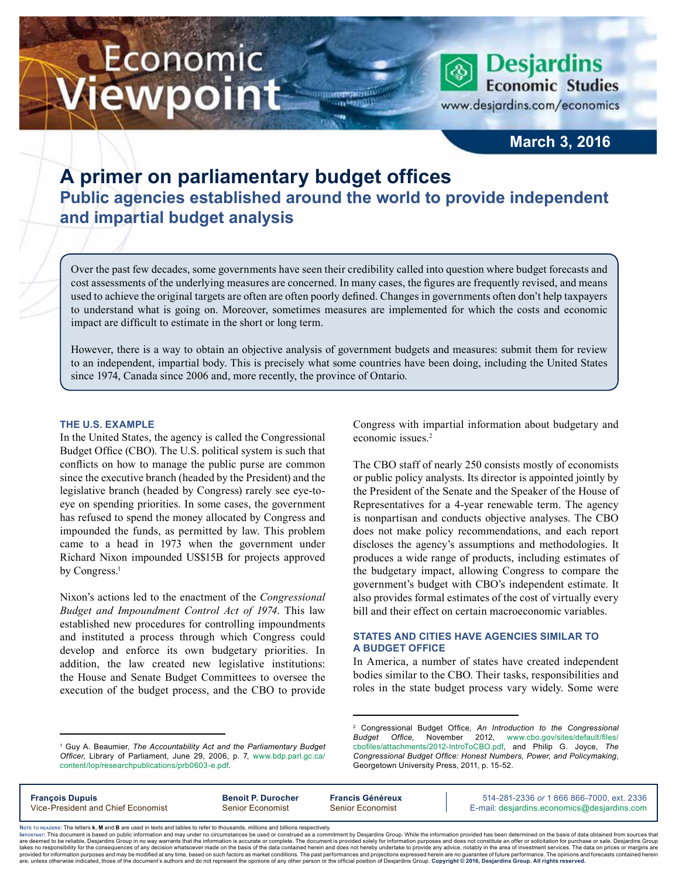# Economic iewpoint

**March 3, 2016**

**Desjardins Economic Studies** 

www.desjardins.com/economics

# **A primer on parliamentary budget offices Public agencies established around the world to provide independent and impartial budget analysis**

Over the past few decades, some governments have seen their credibility called into question where budget forecasts and cost assessments of the underlying measures are concerned. In many cases, the figures are frequently revised, and means used to achieve the original targets are often are often poorly defined. Changes in governments often don't help taxpayers to understand what is going on. Moreover, sometimes measures are implemented for which the costs and economic impact are difficult to estimate in the short or long term.

However, there is a way to obtain an objective analysis of government budgets and measures: submit them for review to an independent, impartial body. This is precisely what some countries have been doing, including the United States since 1974, Canada since 2006 and, more recently, the province of Ontario.

#### **The U.S. example**

In the United States, the agency is called the Congressional Budget Office (CBO). The U.S. political system is such that conflicts on how to manage the public purse are common since the executive branch (headed by the President) and the legislative branch (headed by Congress) rarely see eye-toeye on spending priorities. In some cases, the government has refused to spend the money allocated by Congress and impounded the funds, as permitted by law. This problem came to a head in 1973 when the government under Richard Nixon impounded US\$15B for projects approved by Congress.<sup>1</sup>

Nixon's actions led to the enactment of the *Congressional Budget and Impoundment Control Act of 1974*. This law established new procedures for controlling impoundments and instituted a process through which Congress could develop and enforce its own budgetary priorities. In addition, the law created new legislative institutions: the House and Senate Budget Committees to oversee the execution of the budget process, and the CBO to provide

Congress with impartial information about budgetary and economic issues.<sup>2</sup>

The CBO staff of nearly 250 consists mostly of economists or public policy analysts. Its director is appointed jointly by the President of the Senate and the Speaker of the House of Representatives for a 4‑year renewable term. The agency is nonpartisan and conducts objective analyses. The CBO does not make policy recommendations, and each report discloses the agency's assumptions and methodologies. It produces a wide range of products, including estimates of the budgetary impact, allowing Congress to compare the government's budget with CBO's independent estimate. It also provides formal estimates of the cost of virtually every bill and their effect on certain macroeconomic variables.

# **States and cities have agencies similar to a budget office**

In America, a number of states have created independent bodies similar to the CBO. Their tasks, responsibilities and roles in the state budget process vary widely. Some were

2 Congressional Budget Office, *An Introduction to the Congressional Budget Office*, November 2012, [www.cbo.gov/sites/default/files/](http://www.cbo.gov/sites/default/files/cbofiles/attachments/2012-IntroToCBO.pdf) [cbofiles/attachments/2012-IntroToCBO.pdf](http://www.cbo.gov/sites/default/files/cbofiles/attachments/2012-IntroToCBO.pdf), and Philip G. Joyce, *The Congressional Budget Office: Honest Numbers, Power, and Policymaking*, Georgetown University Press, 2011, p. 15-52.

| <b>François Dupuis</b>             | <b>Benoit P. Durocher</b> | <b>Francis Généreux</b> | 514-281-2336 or 1 866 866-7000, ext. 2336   |
|------------------------------------|---------------------------|-------------------------|---------------------------------------------|
| Vice-President and Chief Economist | Senior Economist          | <b>Senior Economist</b> | E-mail: desjardins.economics@desjardins.com |

Noте то келоекs: The letters **k, M** and **B** are used in texts and tables to refer to thousands, millions and billions respectively.<br>Імроктлит: This document is based on public information and may under no circumstances be are deemed to be reliable. Desiardins Group in no way warrants that the information is accurate or complete. The document is provided solely for information purposes and does not constitute an offer or solicitation for pur takes no responsibility for the consequences of any decision whatsoever made on the basis of the data contained herein and does not hereby undertake to provide any advice, notably in the area of investment services. The da .<br>are, unless otherwise indicated, those of the document's authors and do not represent the opinions of any other person or the official position of Desjardins Group. Copyright @ 2016, Desjardins Group. All rights reserved

<sup>&</sup>lt;sup>1</sup> Guy A. Beaumier, The Accountability Act and the Parliamentary Budget *Officer*, Library of Parliament, June 29, 2006, p. 7, [www.bdp.parl.gc.ca/](http://www.bdp.parl.gc.ca/content/lop/researchpublications/prb0603-e.pdf) [content/lop/researchpublications/prb0603-e.pdf](http://www.bdp.parl.gc.ca/content/lop/researchpublications/prb0603-e.pdf).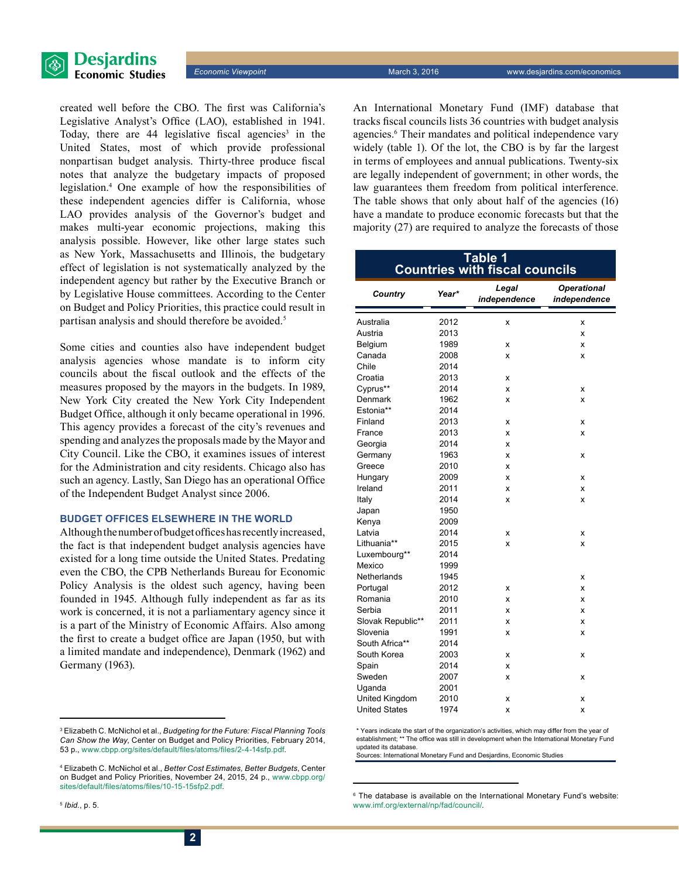



created well before the CBO. The first was California's Legislative Analyst's Office (LAO), established in 1941. Today, there are  $44$  legislative fiscal agencies<sup>3</sup> in the United States, most of which provide professional nonpartisan budget analysis. Thirty-three produce fiscal notes that analyze the budgetary impacts of proposed legislation.4 One example of how the responsibilities of these independent agencies differ is California, whose LAO provides analysis of the Governor's budget and makes multi-year economic projections, making this analysis possible. However, like other large states such as New York, Massachusetts and Illinois, the budgetary effect of legislation is not systematically analyzed by the independent agency but rather by the Executive Branch or by Legislative House committees. According to the Center on Budget and Policy Priorities, this practice could result in partisan analysis and should therefore be avoided.<sup>5</sup>

Some cities and counties also have independent budget analysis agencies whose mandate is to inform city councils about the fiscal outlook and the effects of the measures proposed by the mayors in the budgets. In 1989, New York City created the New York City Independent Budget Office, although it only became operational in 1996. This agency provides a forecast of the city's revenues and spending and analyzes the proposals made by the Mayor and City Council. Like the CBO, it examines issues of interest for the Administration and city residents. Chicago also has such an agency. Lastly, San Diego has an operational Office of the Independent Budget Analyst since 2006.

#### **Budget offices elsewhere in the world**

Although the number of budget offices has recently increased, the fact is that independent budget analysis agencies have existed for a long time outside the United States. Predating even the CBO, the CPB Netherlands Bureau for Economic Policy Analysis is the oldest such agency, having been founded in 1945. Although fully independent as far as its work is concerned, it is not a parliamentary agency since it is a part of the Ministry of Economic Affairs. Also among the first to create a budget office are Japan (1950, but with a limited mandate and independence), Denmark (1962) and Germany (1963).

An International Monetary Fund (IMF) database that tracks fiscal councils lists 36 countries with budget analysis agencies.<sup>6</sup> Their mandates and political independence vary widely (table 1). Of the lot, the CBO is by far the largest in terms of employees and annual publications. Twenty-six are legally independent of government; in other words, the law guarantees them freedom from political interference. The table shows that only about half of the agencies (16) have a mandate to produce economic forecasts but that the majority (27) are required to analyze the forecasts of those

| Table 1<br><b>Countries with fiscal councils</b> |       |                       |                                    |  |  |
|--------------------------------------------------|-------|-----------------------|------------------------------------|--|--|
| Country                                          | Year* | Legal<br>independence | <b>Operational</b><br>independence |  |  |
| Australia                                        | 2012  | X                     | X                                  |  |  |
| Austria                                          | 2013  |                       | x                                  |  |  |
| Belgium                                          | 1989  | X                     | x                                  |  |  |
| Canada                                           | 2008  | x                     | X                                  |  |  |
| Chile                                            | 2014  |                       |                                    |  |  |
| Croatia                                          | 2013  | x                     |                                    |  |  |
| Cyprus**                                         | 2014  | x                     | x                                  |  |  |
| Denmark                                          | 1962  | x                     | x                                  |  |  |
| Estonia**                                        | 2014  |                       |                                    |  |  |
| Finland                                          | 2013  | x                     | x                                  |  |  |
| France                                           | 2013  | x                     | x                                  |  |  |
| Georgia                                          | 2014  | x                     |                                    |  |  |
| Germany                                          | 1963  | X                     | x                                  |  |  |
| Greece                                           | 2010  | x                     |                                    |  |  |
| Hungary                                          | 2009  | x                     | x                                  |  |  |
| Ireland                                          | 2011  | x                     | X                                  |  |  |
| Italy                                            | 2014  | x                     | x                                  |  |  |
| Japan                                            | 1950  |                       |                                    |  |  |
| Kenya                                            | 2009  |                       |                                    |  |  |
| Latvia                                           | 2014  | x                     | x                                  |  |  |
| Lithuania**                                      | 2015  | x                     | x                                  |  |  |
| Luxembourg**                                     | 2014  |                       |                                    |  |  |
| Mexico                                           | 1999  |                       |                                    |  |  |
| Netherlands                                      | 1945  |                       | x                                  |  |  |
| Portugal                                         | 2012  | X                     | x                                  |  |  |
| Romania                                          | 2010  | X                     | x                                  |  |  |
| Serbia                                           | 2011  | x                     | x                                  |  |  |
| Slovak Republic**                                | 2011  | x                     | x                                  |  |  |
| Slovenia                                         | 1991  | x                     | X                                  |  |  |
| South Africa**                                   | 2014  |                       |                                    |  |  |
| South Korea                                      | 2003  | x                     | x                                  |  |  |
| Spain                                            | 2014  | x                     |                                    |  |  |
| Sweden                                           | 2007  | x                     | x                                  |  |  |
| Uganda                                           | 2001  |                       |                                    |  |  |
| United Kingdom                                   | 2010  | x                     | x                                  |  |  |
| <b>United States</b>                             | 1974  | x                     | x                                  |  |  |

\* Years indicate the start of the organization's activities, which may differ from the year of establishment; \*\* The office was still in development when the International Monetary Fund updated its database.

Sources: International Monetary Fund and Desjardins, Economic Studies

6 The database is available on the International Monetary Fund's website: [www.imf.org/external/np/fad/council/.](http://www.imf.org/external/np/fad/council/)

<sup>3</sup> Elizabeth C. McNichol et al., *Budgeting for the Future: Fiscal Planning Tools Can Show the Way*, Center on Budget and Policy Priorities, February 2014, 53 p., [www.cbpp.org/sites/default/files/atoms/files/2-4-14sfp.pdf](http://www.cbpp.org/sites/default/files/atoms/files/2-4-14sfp.pdf).

<sup>4</sup> Elizabeth C. McNichol et al., *Better Cost Estimates, Better Budgets*, Center on Budget and Policy Priorities, November 24, 2015, 24 p., [www.cbpp.org/](http://www.cbpp.org/sites/default/files/atoms/files/10-15-15sfp2.pdf) [sites/default/files/atoms/files/10-15-15sfp2.pdf](http://www.cbpp.org/sites/default/files/atoms/files/10-15-15sfp2.pdf).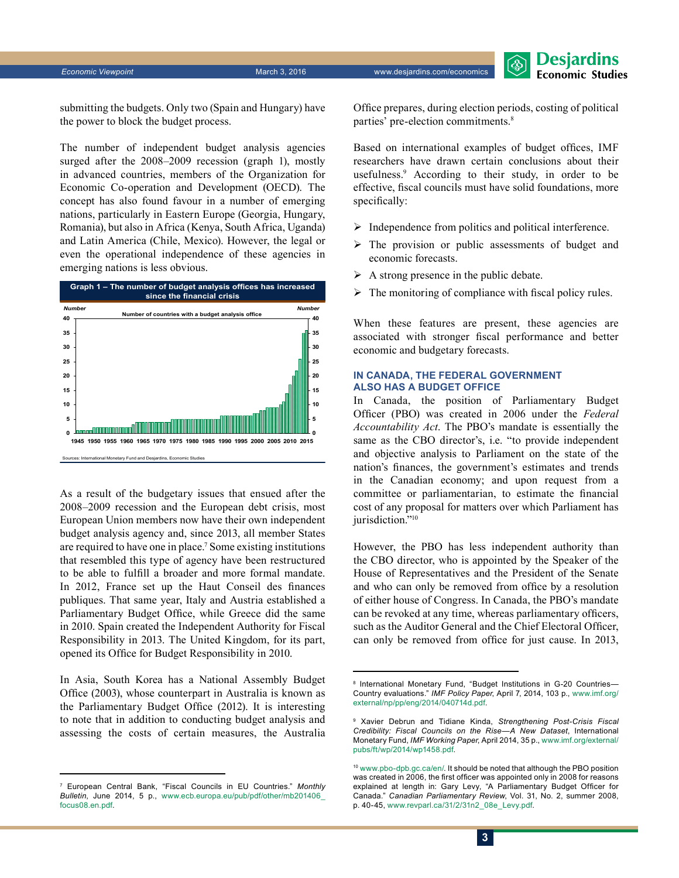*Economic Viewpoint* March 3, 2016 www.desjardins.com/economics

Desjardins **Economic Studies** 

submitting the budgets. Only two (Spain and Hungary) have the power to block the budget process.

The number of independent budget analysis agencies surged after the 2008–2009 recession (graph 1), mostly in advanced countries, members of the Organization for Economic Co‑operation and Development (OECD). The concept has also found favour in a number of emerging nations, particularly in Eastern Europe (Georgia, Hungary, Romania), but also in Africa (Kenya, South Africa, Uganda) and Latin America (Chile, Mexico). However, the legal or even the operational independence of these agencies in emerging nations is less obvious.



As a result of the budgetary issues that ensued after the 2008–2009 recession and the European debt crisis, most European Union members now have their own independent budget analysis agency and, since 2013, all member States are required to have one in place.<sup>7</sup> Some existing institutions that resembled this type of agency have been restructured to be able to fulfill a broader and more formal mandate. In 2012, France set up the Haut Conseil des finances publiques. That same year, Italy and Austria established a Parliamentary Budget Office, while Greece did the same in 2010. Spain created the Independent Authority for Fiscal Responsibility in 2013. The United Kingdom, for its part, opened its Office for Budget Responsibility in 2010.

In Asia, South Korea has a National Assembly Budget Office (2003), whose counterpart in Australia is known as the Parliamentary Budget Office (2012). It is interesting to note that in addition to conducting budget analysis and assessing the costs of certain measures, the Australia Office prepares, during election periods, costing of political parties' pre-election commitments.8

Based on international examples of budget offices, IMF researchers have drawn certain conclusions about their usefulness.9 According to their study, in order to be effective, fiscal councils must have solid foundations, more specifically:

- $\triangleright$  Independence from politics and political interference.
- $\triangleright$  The provision or public assessments of budget and economic forecasts.
- $\triangleright$  A strong presence in the public debate.
- $\triangleright$  The monitoring of compliance with fiscal policy rules.

When these features are present, these agencies are associated with stronger fiscal performance and better economic and budgetary forecasts.

## **In Canada, the federal government also has a budget office**

In Canada, the position of Parliamentary Budget Officer (PBO) was created in 2006 under the *Federal Accountability Act*. The PBO's mandate is essentially the same as the CBO director's, i.e. "to provide independent and objective analysis to Parliament on the state of the nation's finances, the government's estimates and trends in the Canadian economy; and upon request from a committee or parliamentarian, to estimate the financial cost of any proposal for matters over which Parliament has jurisdiction."<sup>10</sup>

However, the PBO has less independent authority than the CBO director, who is appointed by the Speaker of the House of Representatives and the President of the Senate and who can only be removed from office by a resolution of either house of Congress. In Canada, the PBO's mandate can be revoked at any time, whereas parliamentary officers, such as the Auditor General and the Chief Electoral Officer, can only be removed from office for just cause. In 2013,

<sup>7</sup> European Central Bank, "Fiscal Councils in EU Countries." *Monthly Bulletin*, June 2014, 5 p., [www.ecb.europa.eu/pub/pdf/other/mb201406\\_](http://www.ecb.europa.eu/pub/pdf/other/mb201406_focus08.en.pdf) [focus08.en.pdf](http://www.ecb.europa.eu/pub/pdf/other/mb201406_focus08.en.pdf).

<sup>8</sup> International Monetary Fund, "Budget Institutions in G‑20 Countries— Country evaluations." *IMF Policy Paper*, April 7, 2014, 103 p., [www.imf.org/](http://www.imf.org/external/np/pp/eng/2014/040714d.pdf) [external/np/pp/eng/2014/040714d.pdf.](http://www.imf.org/external/np/pp/eng/2014/040714d.pdf)

<sup>9</sup> Xavier Debrun and Tidiane Kinda, *Strengthening Post-Crisis Fiscal Credibility: Fiscal Councils on the Rise—A New Dataset*, International Monetary Fund, *IMF Working Paper*, April 2014, 35 p., [www.imf.org/external/](http://www.imf.org/external/pubs/ft/wp/2014/wp1458.pdf) [pubs/ft/wp/2014/wp1458.pdf](http://www.imf.org/external/pubs/ft/wp/2014/wp1458.pdf).

<sup>10</sup> [www.pbo-dpb.gc.ca/en/](http://www.pbo-dpb.gc.ca/en/). It should be noted that although the PBO position was created in 2006, the first officer was appointed only in 2008 for reasons explained at length in: Gary Levy, "A Parliamentary Budget Officer for Canada." *Canadian Parliamentary Review*, Vol. 31, No. 2, summer 2008, p. 40-45, [www.revparl.ca/31/2/31n2\\_08e\\_Levy.pdf](http://www.revparl.ca/31/2/31n2_08e_Levy.pdf).